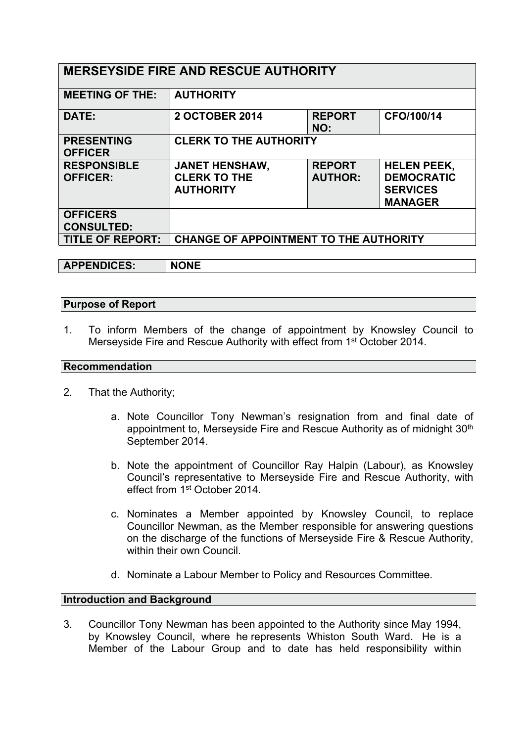| <b>MERSEYSIDE FIRE AND RESCUE AUTHORITY</b> |                                                                  |                                 |                                                                              |  |
|---------------------------------------------|------------------------------------------------------------------|---------------------------------|------------------------------------------------------------------------------|--|
| <b>MEETING OF THE:</b>                      | <b>AUTHORITY</b>                                                 |                                 |                                                                              |  |
| DATE:                                       | <b>2 OCTOBER 2014</b>                                            | <b>REPORT</b><br>NO:            | CFO/100/14                                                                   |  |
| <b>PRESENTING</b><br><b>OFFICER</b>         | <b>CLERK TO THE AUTHORITY</b>                                    |                                 |                                                                              |  |
| <b>RESPONSIBLE</b><br><b>OFFICER:</b>       | <b>JANET HENSHAW,</b><br><b>CLERK TO THE</b><br><b>AUTHORITY</b> | <b>REPORT</b><br><b>AUTHOR:</b> | <b>HELEN PEEK,</b><br><b>DEMOCRATIC</b><br><b>SERVICES</b><br><b>MANAGER</b> |  |
| <b>OFFICERS</b><br><b>CONSULTED:</b>        |                                                                  |                                 |                                                                              |  |
| <b>TITLE OF REPORT:</b>                     | <b>CHANGE OF APPOINTMENT TO THE AUTHORITY</b>                    |                                 |                                                                              |  |

**APPENDICES: NONE**

# **Purpose of Report**

1. To inform Members of the change of appointment by Knowsley Council to Merseyside Fire and Rescue Authority with effect from 1<sup>st</sup> October 2014.

### **Recommendation**

- 2. That the Authority;
	- a. Note Councillor Tony Newman's resignation from and final date of appointment to, Merseyside Fire and Rescue Authority as of midnight 30<sup>th</sup> September 2014.
	- b. Note the appointment of Councillor Ray Halpin (Labour), as Knowsley Council's representative to Merseyside Fire and Rescue Authority, with effect from 1<sup>st</sup> October 2014.
	- c. Nominates a Member appointed by Knowsley Council, to replace Councillor Newman, as the Member responsible for answering questions on the discharge of the functions of Merseyside Fire & Rescue Authority, within their own Council
	- d. Nominate a Labour Member to Policy and Resources Committee.

# **Introduction and Background**

3. Councillor Tony Newman has been appointed to the Authority since May 1994, by Knowsley Council, where he represents Whiston South Ward. He is a Member of the Labour Group and to date has held responsibility within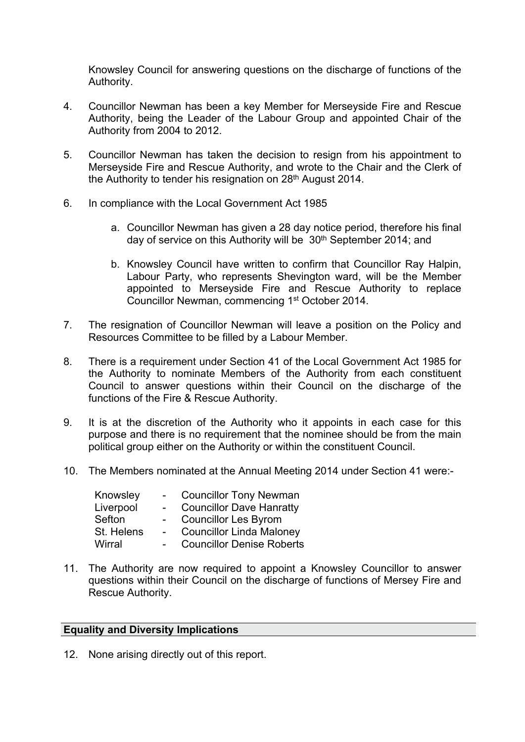Knowsley Council for answering questions on the discharge of functions of the Authority.

- 4. Councillor Newman has been a key Member for Merseyside Fire and Rescue Authority, being the Leader of the Labour Group and appointed Chair of the Authority from 2004 to 2012.
- 5. Councillor Newman has taken the decision to resign from his appointment to Merseyside Fire and Rescue Authority, and wrote to the Chair and the Clerk of the Authority to tender his resignation on 28th August 2014.
- 6. In compliance with the Local Government Act 1985
	- a. Councillor Newman has given a 28 day notice period, therefore his final day of service on this Authority will be 30th September 2014; and
	- b. Knowsley Council have written to confirm that Councillor Ray Halpin, Labour Party, who represents Shevington ward, will be the Member appointed to Merseyside Fire and Rescue Authority to replace Councillor Newman, commencing 1<sup>st</sup> October 2014.
- 7. The resignation of Councillor Newman will leave a position on the Policy and Resources Committee to be filled by a Labour Member.
- 8. There is a requirement under Section 41 of the Local Government Act 1985 for the Authority to nominate Members of the Authority from each constituent Council to answer questions within their Council on the discharge of the functions of the Fire & Rescue Authority.
- 9. It is at the discretion of the Authority who it appoints in each case for this purpose and there is no requirement that the nominee should be from the main political group either on the Authority or within the constituent Council.
- 10. The Members nominated at the Annual Meeting 2014 under Section 41 were:-

| Knowsley   |                | <b>Councillor Tony Newman</b>    |
|------------|----------------|----------------------------------|
| Liverpool  | $\blacksquare$ | <b>Councillor Dave Hanratty</b>  |
| Sefton     |                | <b>Councillor Les Byrom</b>      |
| St. Helens |                | <b>Councillor Linda Maloney</b>  |
| Wirral     |                | <b>Councillor Denise Roberts</b> |

11. The Authority are now required to appoint a Knowsley Councillor to answer questions within their Council on the discharge of functions of Mersey Fire and Rescue Authority.

#### **Equality and Diversity Implications**

12. None arising directly out of this report.